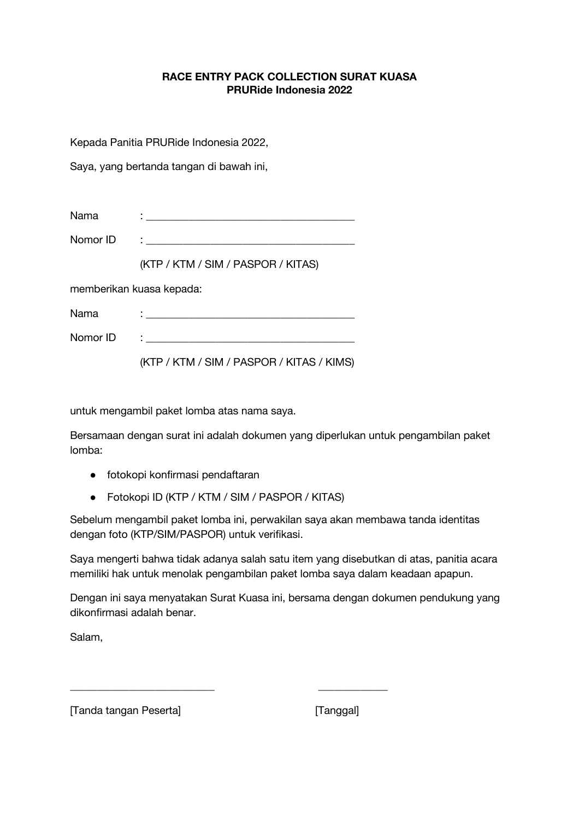## **RACE ENTRY PACK COLLECTION SURAT KUASA PRURide Indonesia 2022**

Kepada Panitia PRURide Indonesia 2022,

Saya, yang bertanda tangan di bawah ini,

| Nama                     | <u> 1989 - Johann Stein, fransk politik (d. 1989)</u> |  |
|--------------------------|-------------------------------------------------------|--|
| Nomor ID                 | the company of the company of the company of          |  |
|                          | (KTP / KTM / SIM / PASPOR / KITAS)                    |  |
| memberikan kuasa kepada: |                                                       |  |
| Nama                     | the contract of the contract of the contract of the   |  |
| Nomor ID                 |                                                       |  |

(KTP / KTM / SIM / PASPOR / KITAS / KIMS)

untuk mengambil paket lomba atas nama saya.

Bersamaan dengan surat ini adalah dokumen yang diperlukan untuk pengambilan paket lomba:

- fotokopi konfirmasi pendaftaran
- Fotokopi ID (KTP / KTM / SIM / PASPOR / KITAS)

\_\_\_\_\_\_\_\_\_\_\_\_\_\_\_\_\_\_\_\_\_\_\_\_\_\_\_ \_\_\_\_\_\_\_\_\_\_\_\_\_

Sebelum mengambil paket lomba ini, perwakilan saya akan membawa tanda identitas dengan foto (KTP/SIM/PASPOR) untuk verifikasi.

Saya mengerti bahwa tidak adanya salah satu item yang disebutkan di atas, panitia acara memiliki hak untuk menolak pengambilan paket lomba saya dalam keadaan apapun.

Dengan ini saya menyatakan Surat Kuasa ini, bersama dengan dokumen pendukung yang dikonfirmasi adalah benar.

Salam,

[Tanda tangan Peserta] [Tanggal]